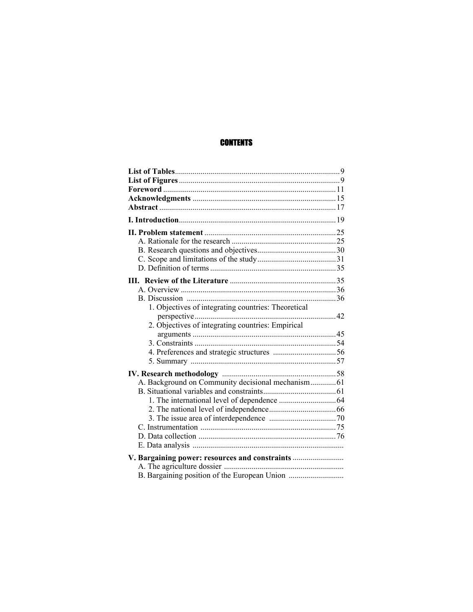## **CONTENTS**

| 1. Objectives of integrating countries: Theoretical |  |
|-----------------------------------------------------|--|
|                                                     |  |
| 2. Objectives of integrating countries: Empirical   |  |
|                                                     |  |
|                                                     |  |
|                                                     |  |
|                                                     |  |
|                                                     |  |
| A. Background on Community decisional mechanism 61  |  |
|                                                     |  |
|                                                     |  |
|                                                     |  |
|                                                     |  |
|                                                     |  |
|                                                     |  |
|                                                     |  |
| V. Bargaining power: resources and constraints      |  |
|                                                     |  |
|                                                     |  |
|                                                     |  |